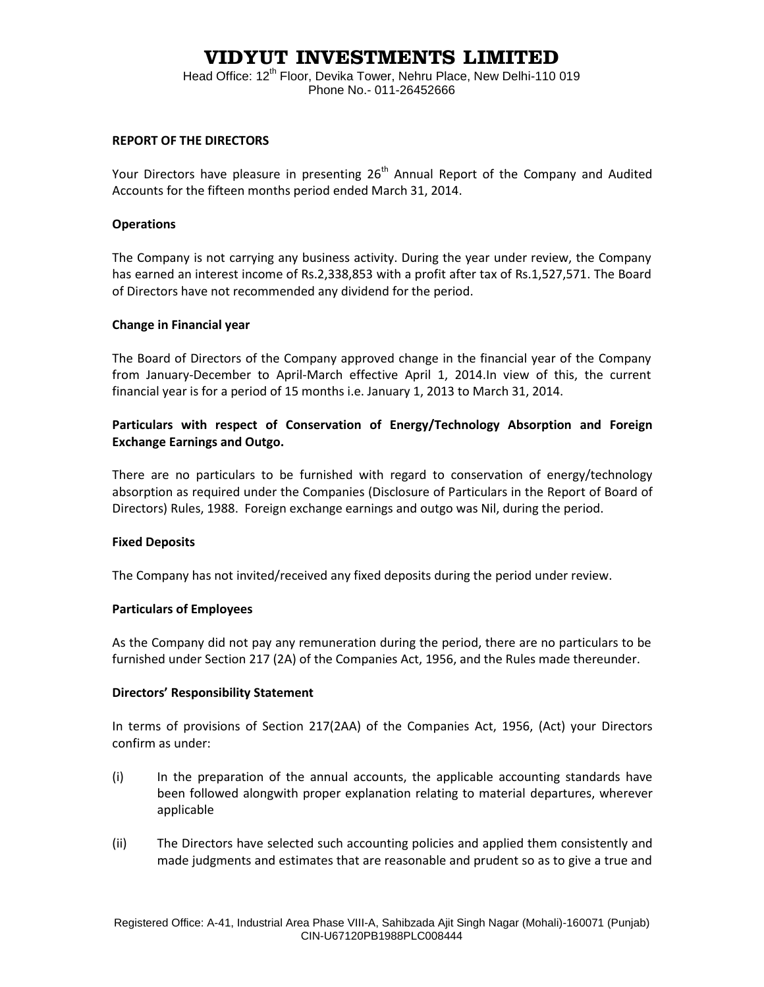# **VIDYUT INVESTMENTS LIMITED**

Head Office: 12<sup>th</sup> Floor, Devika Tower, Nehru Place, New Delhi-110 019 Phone No.- 011-26452666

### **REPORT OF THE DIRECTORS**

Your Directors have pleasure in presenting  $26<sup>th</sup>$  Annual Report of the Company and Audited Accounts for the fifteen months period ended March 31, 2014.

### **Operations**

The Company is not carrying any business activity. During the year under review, the Company has earned an interest income of Rs.2,338,853 with a profit after tax of Rs.1,527,571. The Board of Directors have not recommended any dividend for the period.

### **Change in Financial year**

The Board of Directors of the Company approved change in the financial year of the Company from January-December to April-March effective April 1, 2014.In view of this, the current financial year is for a period of 15 months i.e. January 1, 2013 to March 31, 2014.

### **Particulars with respect of Conservation of Energy/Technology Absorption and Foreign Exchange Earnings and Outgo.**

There are no particulars to be furnished with regard to conservation of energy/technology absorption as required under the Companies (Disclosure of Particulars in the Report of Board of Directors) Rules, 1988. Foreign exchange earnings and outgo was Nil, during the period.

### **Fixed Deposits**

The Company has not invited/received any fixed deposits during the period under review.

### **Particulars of Employees**

As the Company did not pay any remuneration during the period, there are no particulars to be furnished under Section 217 (2A) of the Companies Act, 1956, and the Rules made thereunder.

### **Directors' Responsibility Statement**

In terms of provisions of Section 217(2AA) of the Companies Act, 1956, (Act) your Directors confirm as under:

- (i) In the preparation of the annual accounts, the applicable accounting standards have been followed alongwith proper explanation relating to material departures, wherever applicable
- (ii) The Directors have selected such accounting policies and applied them consistently and made judgments and estimates that are reasonable and prudent so as to give a true and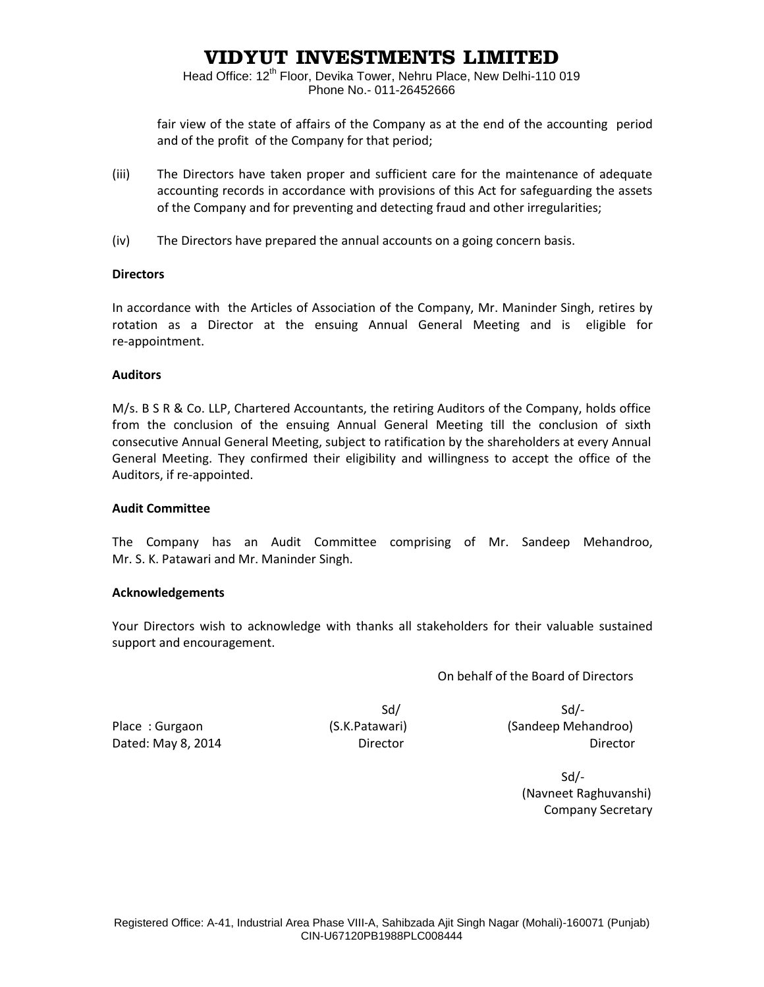# **VIDYUT INVESTMENTS LIMITED**

Head Office: 12<sup>th</sup> Floor, Devika Tower, Nehru Place, New Delhi-110 019 Phone No.- 011-26452666

fair view of the state of affairs of the Company as at the end of the accounting period and of the profit of the Company for that period;

- (iii) The Directors have taken proper and sufficient care for the maintenance of adequate accounting records in accordance with provisions of this Act for safeguarding the assets of the Company and for preventing and detecting fraud and other irregularities;
- (iv) The Directors have prepared the annual accounts on a going concern basis.

### **Directors**

In accordance with the Articles of Association of the Company, Mr. Maninder Singh, retires by rotation as a Director at the ensuing Annual General Meeting and is eligible for re-appointment.

### **Auditors**

M/s. B S R & Co. LLP, Chartered Accountants, the retiring Auditors of the Company, holds office from the conclusion of the ensuing Annual General Meeting till the conclusion of sixth consecutive Annual General Meeting, subject to ratification by the shareholders at every Annual General Meeting. They confirmed their eligibility and willingness to accept the office of the Auditors, if re-appointed.

### **Audit Committee**

The Company has an Audit Committee comprising of Mr. Sandeep Mehandroo, Mr. S. K. Patawari and Mr. Maninder Singh.

### **Acknowledgements**

Your Directors wish to acknowledge with thanks all stakeholders for their valuable sustained support and encouragement.

On behalf of the Board of Directors

 $Sd/$ 

Place : Gurgaon (S.K.Patawari) (S.K.Patawari) (S.K.Patawari) (Sandeep Mehandroo) Dated: May 8, 2014 **Director** Director **Director Director Director** 

 Sd/- (Navneet Raghuvanshi) Company Secretary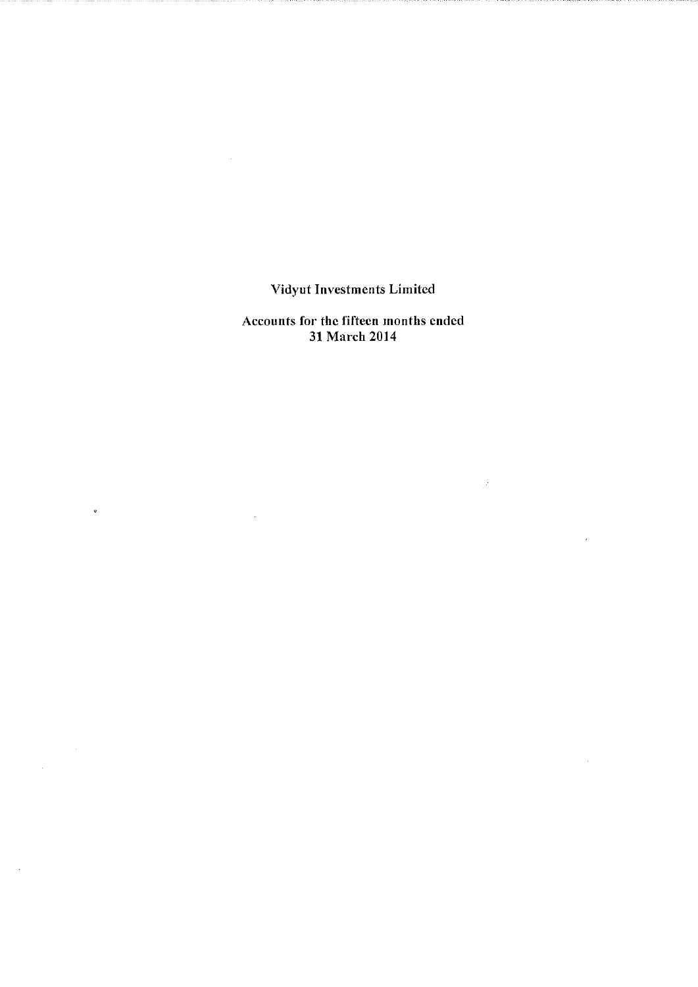Accounts for the fifteen months ended 31 March 2014

 $\label{eq:2.1} \frac{1}{\sqrt{2}}\left(\frac{1}{\sqrt{2}}\right)^{2} \left(\frac{1}{\sqrt{2}}\right)^{2} \left(\frac{1}{\sqrt{2}}\right)^{2} \left(\frac{1}{\sqrt{2}}\right)^{2} \left(\frac{1}{\sqrt{2}}\right)^{2} \left(\frac{1}{\sqrt{2}}\right)^{2} \left(\frac{1}{\sqrt{2}}\right)^{2} \left(\frac{1}{\sqrt{2}}\right)^{2} \left(\frac{1}{\sqrt{2}}\right)^{2} \left(\frac{1}{\sqrt{2}}\right)^{2} \left(\frac{1}{\sqrt{2}}\right)^{2} \left(\$ 

 $\phi$  .

 $\sim 10^7$ 

 $\mathcal{L}(\mathcal{F})$  .

 $\mathcal{A}$ 

 $\sim 10^7$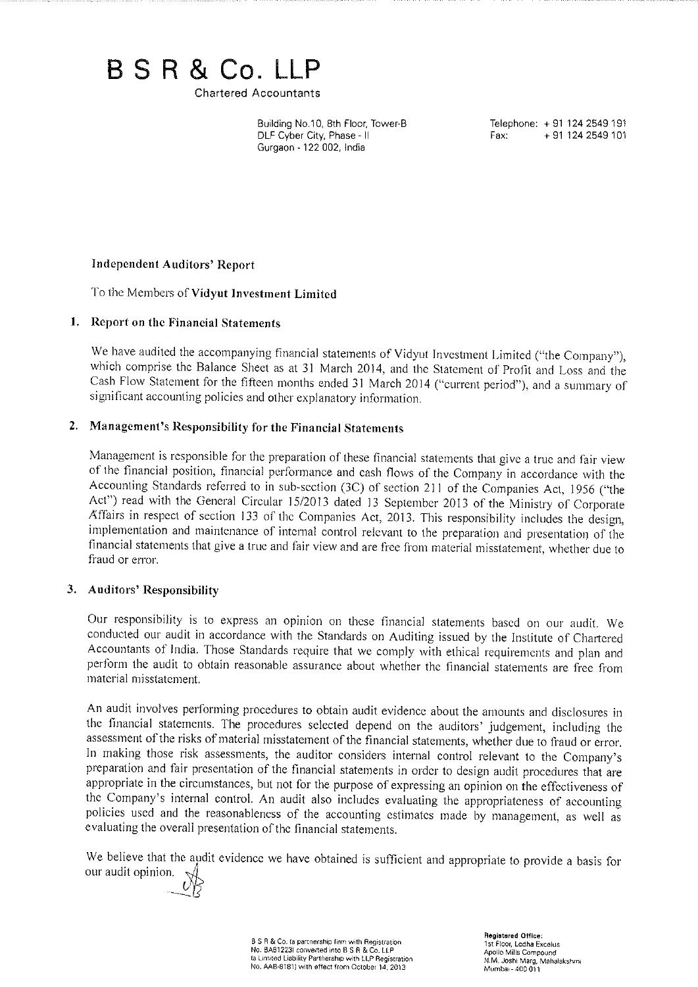# B S R & Co. LLP

**Chartered Accountants** 

Building No.10, 8th Floor, Tower-B DLF Cyber City, Phase - II Gurgaon - 122 002, India

Telephone: +91 124 2549 191 + 91 124 2549 101 Fax:

### **Independent Auditors' Report**

To the Members of Vidyut Investment Limited

### 1. Report on the Financial Statements

We have audited the accompanying financial statements of Vidyut Investment Limited ("the Company"), which comprise the Balance Sheet as at 31 March 2014, and the Statement of Profit and Loss and the Cash Flow Statement for the fifteen months ended 31 March 2014 ("current period"), and a summary of significant accounting policies and other explanatory information.

### 2. Management's Responsibility for the Financial Statements

Management is responsible for the preparation of these financial statements that give a true and fair view of the financial position, financial performance and cash flows of the Company in accordance with the Accounting Standards referred to in sub-section (3C) of section 211 of the Companies Act, 1956 ("the Act") read with the General Circular 15/2013 dated 13 September 2013 of the Ministry of Corporate Affairs in respect of section 133 of the Companies Act, 2013. This responsibility includes the design, implementation and maintenance of internal control relevant to the preparation and presentation of the financial statements that give a true and fair view and are free from material misstatement, whether due to fraud or error.

### 3. Auditors' Responsibility

Our responsibility is to express an opinion on these financial statements based on our audit. We conducted our audit in accordance with the Standards on Auditing issued by the Institute of Chartered Accountants of India. Those Standards require that we comply with ethical requirements and plan and perform the audit to obtain reasonable assurance about whether the financial statements are free from material misstatement.

An audit involves performing procedures to obtain audit evidence about the amounts and disclosures in the financial statements. The procedures selected depend on the auditors' judgement, including the assessment of the risks of material misstatement of the financial statements, whether due to fraud or error. In making those risk assessments, the auditor considers internal control relevant to the Company's preparation and fair presentation of the financial statements in order to design audit procedures that are appropriate in the circumstances, but not for the purpose of expressing an opinion on the effectiveness of the Company's internal control. An audit also includes evaluating the appropriateness of accounting policies used and the reasonableness of the accounting estimates made by management, as well as evaluating the overall presentation of the financial statements.

We believe that the audit evidence we have obtained is sufficient and appropriate to provide a basis for our audit opinion.



B S R & Co. (a partnership firm with Registration No. BA61223) converted into B S R & Co. LLP<br>ta Limited Liability Partnership with LLP Registration No. AAB-8181) with effect from October 14, 2013

Registered Office: The Theory Lodha Excelus<br>Apollo Mills Compound N.M. Joshi Marg, Mahalakshmi Mumbai - 400 011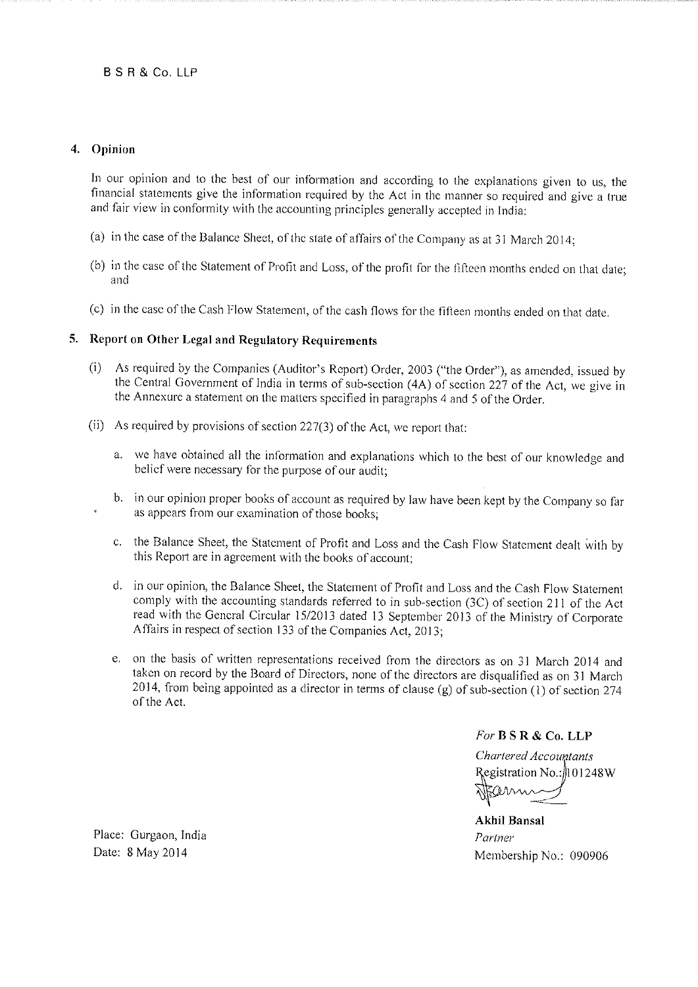### 4. Opinion

In our opinion and to the best of our information and according to the explanations given to us, the financial statements give the information required by the Act in the manner so required and give a true and fair view in conformity with the accounting principles generally accepted in India:

- (a) in the case of the Balance Sheet, of the state of affairs of the Company as at 31 March 2014;
- (b) in the case of the Statement of Profit and Loss, of the profit for the fifteen months ended on that date; and
- (c) in the case of the Cash Flow Statement, of the cash flows for the fifteen months ended on that date.

### 5. Report on Other Legal and Regulatory Requirements

- (i) As required by the Companies (Auditor's Report) Order, 2003 ("the Order"), as amended, issued by the Central Government of India in terms of sub-section (4A) of section 227 of the Act, we give in the Annexure a statement on the matters specified in paragraphs 4 and 5 of the Order.
- (ii) As required by provisions of section 227(3) of the Act, we report that:
	- a. we have obtained all the information and explanations which to the best of our knowledge and belief were necessary for the purpose of our audit;
	- b. in our opinion proper books of account as required by law have been kept by the Company so far as appears from our examination of those books;
	- c. the Balance Sheet, the Statement of Profit and Loss and the Cash Flow Statement dealt with by this Report are in agreement with the books of account:
	- d. in our opinion, the Balance Sheet, the Statement of Profit and Loss and the Cash Flow Statement comply with the accounting standards referred to in sub-section (3C) of section 211 of the Act read with the General Circular 15/2013 dated 13 September 2013 of the Ministry of Corporate Affairs in respect of section 133 of the Companies Act, 2013;
	- e. on the basis of written representations received from the directors as on 31 March 2014 and taken on record by the Board of Directors, none of the directors are disqualified as on 31 March 2014, from being appointed as a director in terms of clause (g) of sub-section (1) of section 274 of the Act.

For B S R & Co. LLP

Chartered Accountants Registration No.:  $101248W$ 

**Akhil Bansal** Partner Membership No.: 090906

Place: Gurgaon, India Date: 8 May 2014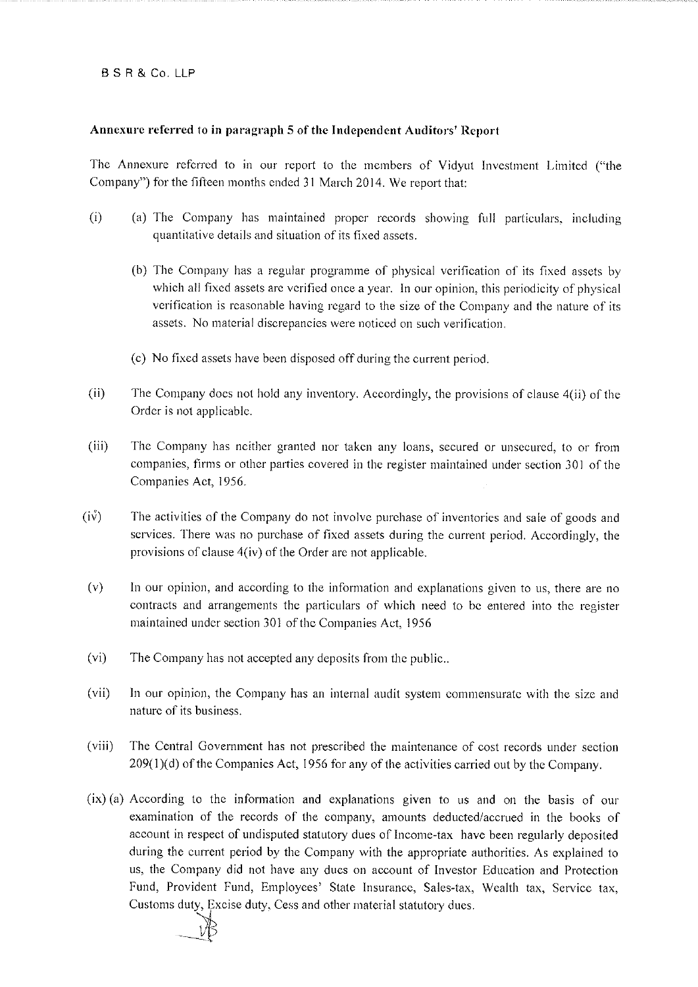### **BSR&Co.LLP**

### Annexure referred to in paragraph 5 of the Independent Auditors' Report

The Annexure referred to in our report to the members of Vidyut Investment Limited ("the Company") for the fifteen months ended 31 March 2014. We report that:

- $(i)$ (a) The Company has maintained proper records showing full particulars, including quantitative details and situation of its fixed assets.
	- (b) The Company has a regular programme of physical verification of its fixed assets by which all fixed assets are verified once a year. In our opinion, this periodicity of physical verification is reasonable having regard to the size of the Company and the nature of its assets. No material discrepancies were noticed on such verification.
	- (c) No fixed assets have been disposed off during the current period.
- $(ii)$ The Company does not hold any inventory. Accordingly, the provisions of clause 4(ii) of the Order is not applicable.
- $(iii)$ The Company has neither granted nor taken any loans, secured or unsecured, to or from companies, firms or other parties covered in the register maintained under section 301 of the Companies Act, 1956.
- $(iv)$ The activities of the Company do not involve purchase of inventories and sale of goods and services. There was no purchase of fixed assets during the current period. Accordingly, the provisions of clause 4(iv) of the Order are not applicable.
- $(v)$ In our opinion, and according to the information and explanations given to us, there are no contracts and arrangements the particulars of which need to be entered into the register maintained under section 301 of the Companies Act, 1956
- $(v_i)$ The Company has not accepted any deposits from the public...
- In our opinion, the Company has an internal audit system commensurate with the size and  $(vii)$ nature of its business.
- $(viii)$ The Central Government has not prescribed the maintenance of cost records under section  $209(1)(d)$  of the Companies Act, 1956 for any of the activities carried out by the Company.
- $(ix)$  (a) According to the information and explanations given to us and on the basis of our examination of the records of the company, amounts deducted/accrued in the books of account in respect of undisputed statutory dues of Income-tax have been regularly deposited during the current period by the Company with the appropriate authorities. As explained to us, the Company did not have any dues on account of Investor Education and Protection Fund, Provident Fund, Employees' State Insurance, Sales-tax, Wealth tax, Service tax, Customs duty, Excise duty, Cess and other material statutory dues.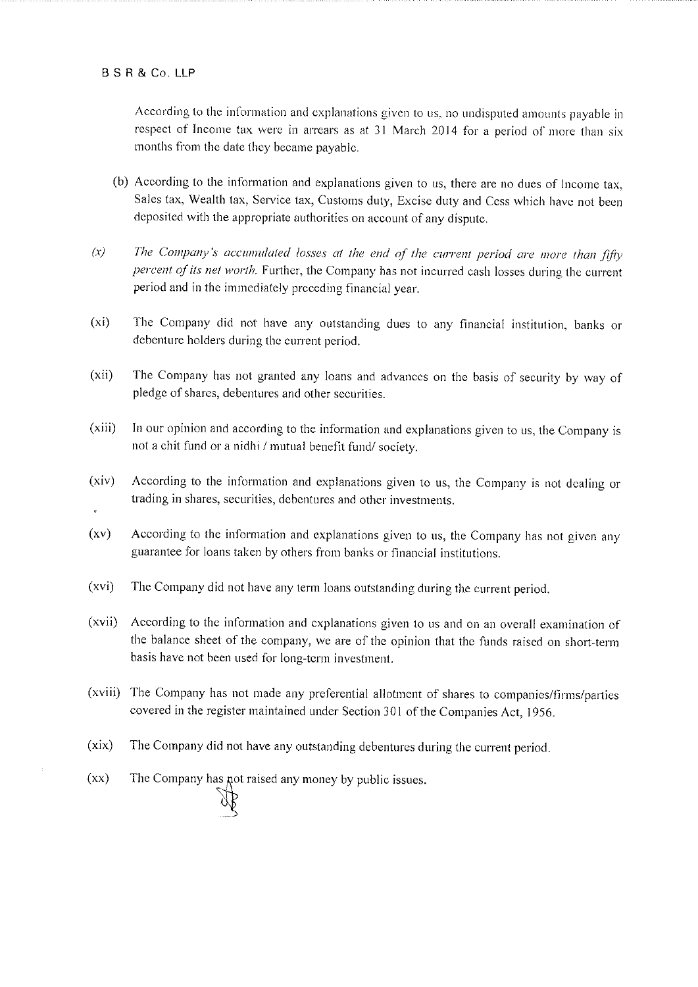### **BSR&CoLLP**

According to the information and explanations given to us, no undisputed amounts payable in respect of Income tax were in arrears as at 31 March 2014 for a period of more than six months from the date they became payable.

- (b) According to the information and explanations given to us, there are no dues of Income tax, Sales tax, Wealth tax, Service tax, Customs duty, Excise duty and Cess which have not been deposited with the appropriate authorities on account of any dispute.
- $(x)$ The Company's accumulated losses at the end of the current period are more than fifty percent of its net worth. Further, the Company has not incurred cash losses during the current period and in the immediately preceding financial year.
- $(x_i)$ The Company did not have any outstanding dues to any financial institution, banks or debenture holders during the current period.
- $(xii)$ The Company has not granted any loans and advances on the basis of security by way of pledge of shares, debentures and other securities.
- $(xiii)$ In our opinion and according to the information and explanations given to us, the Company is not a chit fund or a nidhi / mutual benefit fund/ society.
- $(xiv)$ According to the information and explanations given to us, the Company is not dealing or trading in shares, securities, debentures and other investments.
- $(xy)$ According to the information and explanations given to us, the Company has not given any guarantee for loans taken by others from banks or financial institutions.
- $(xvi)$ The Company did not have any term loans outstanding during the current period.
- $(xvii)$ According to the information and explanations given to us and on an overall examination of the balance sheet of the company, we are of the opinion that the funds raised on short-term basis have not been used for long-term investment.
- (xviii) The Company has not made any preferential allotment of shares to companies/firms/parties covered in the register maintained under Section 301 of the Companies Act, 1956.
- $(xix)$ The Company did not have any outstanding debentures during the current period.
- The Company has not raised any money by public issues.  $(xx)$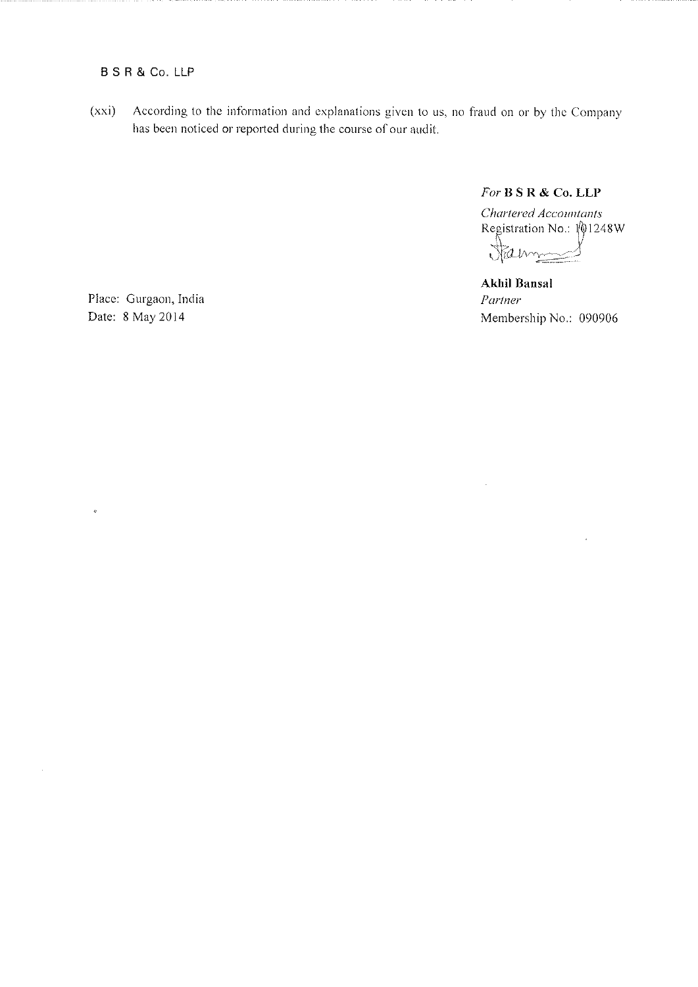### **B S R & Co. LLP**

According to the information and explanations given to us, no fraud on or by the Company  $(xxi)$ has been noticed or reported during the course of our audit.

For B S R & Co. LLP

Chartered Accountants Registration No.:  $\sqrt{01248W}$ James ł

**Akhil Bansal** Partner Membership No.: 090906

 $\ddot{\phantom{a}}$ 

Place: Gurgaon, India Date: 8 May 2014

 $\ddot{\phi}$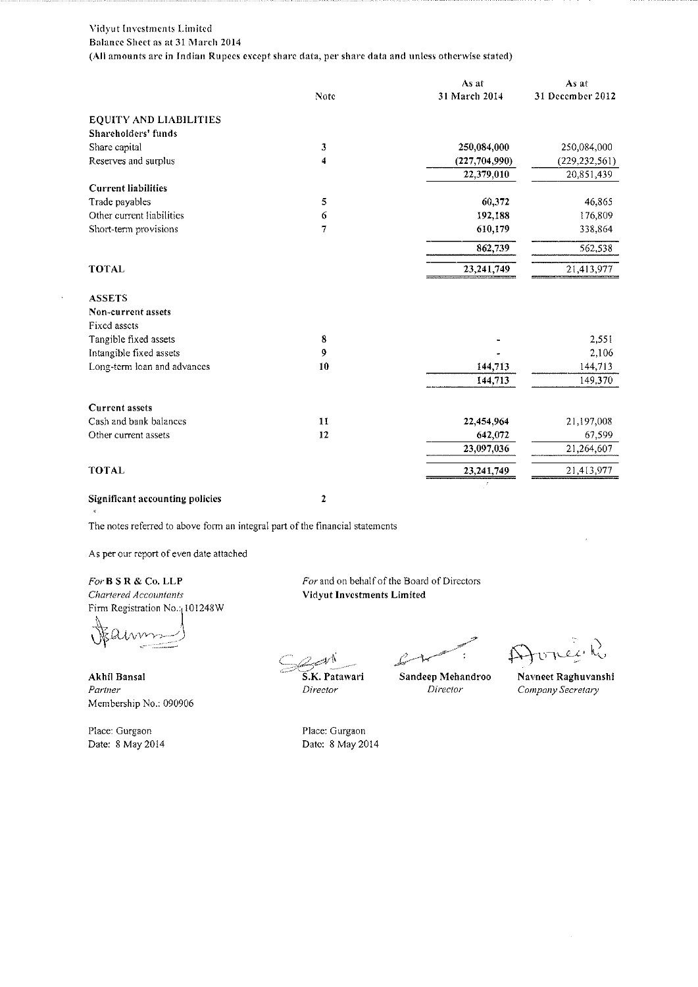#### Vidyut Investments Limited Balance Sheet as at 31 March 2014 (All amounts are in Indian Rupecs except share data, per share data and unless otherwise stated)

|                             |      | As at           | As at            |
|-----------------------------|------|-----------------|------------------|
|                             | Note | 31 March 2014   | 31 December 2012 |
| EQUITY AND LIABILITIES      |      |                 |                  |
| Shareholders' funds         |      |                 |                  |
| Share capital               | 3    | 250,084,000     | 250,084,000      |
| Reserves and surplus        | 4    | (227, 704, 990) | (229, 232, 561)  |
|                             |      | 22,379,010      | 20,851,439       |
| <b>Current liabilities</b>  |      |                 |                  |
| Trade payables              | 5    | 60,372          | 46,865           |
| Other current liabilities   | 6    | 192,188         | 176,809          |
| Short-term provisions       | 7    | 610,179         | 338,864          |
|                             |      | 862,739         | 562,538          |
| TOTAL                       |      | 23,241,749      | 21,413,977       |
| <b>ASSETS</b>               |      |                 |                  |
| Non-current assets          |      |                 |                  |
| Fixed assets                |      |                 |                  |
| Tangible fixed assets       | 8    |                 | 2,551            |
| Intangible fixed assets     | 9    |                 | 2,106            |
| Long-term loan and advances | 10   | 144,713         | 144,713          |
|                             |      | 144,713         | 149,370          |
| <b>Current assets</b>       |      |                 |                  |
| Cash and bank balances      | 11   | 22,454,964      | 21,197,008       |
| Other current assets        | 12   | 642,072         | 67,599           |
|                             |      | 23,097,036      | 21,264,607       |
| <b>TOTAL</b>                |      | 23,241,749      | 21,413,977       |
|                             |      |                 |                  |

Significant accounting policies

 $\overline{\mathbf{c}}$ 

The notes referred to above form an integral part of the financial statements

As per our report of even date attached

For B S R & Co. LLP Chartered Accountants Firm Registration No. 101248W

Akhil Bansal Partner Membership No.: 090906

Place: Gurgaon Date: 8 May 2014 For and on behalf of the Board of Directors Vidyut Investments Limited

S.K. Patawari Director

Sandeep Mehandroo Director

Avrée R

Navneet Raghuvanshi Company Secretary

Place: Gurgaon Date: 8 May 2014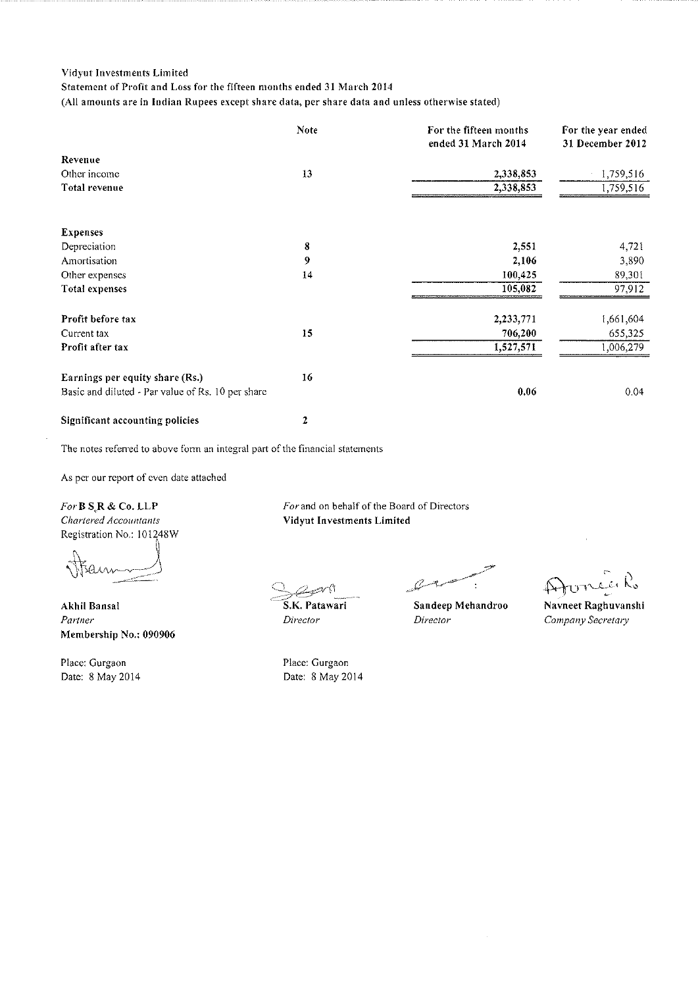### Statement of Profit and Loss for the fifteen months ended 31 March 2014

(All amounts are in Indian Rupees except share data, per share data and unless otherwise stated)

|                                                   | Note | For the fifteen months<br>ended 31 March 2014 | For the year ended<br>31 December 2012 |
|---------------------------------------------------|------|-----------------------------------------------|----------------------------------------|
| Revenue                                           |      |                                               |                                        |
| Other income                                      | 13   | 2,338,853                                     | 1,759,516                              |
| Total revenue                                     |      | 2,338,853                                     | 1,759,516                              |
| <b>Expenses</b>                                   |      |                                               |                                        |
| Depreciation                                      | 8    | 2,551                                         | 4,721                                  |
| Amortisation                                      | 9    | 2,106                                         | 3,890                                  |
| Other expenses                                    | 14   | 100,425                                       | 89,301                                 |
| Total expenses                                    |      | 105,082                                       | 97,912                                 |
| Profit before tax                                 |      | 2,233,771                                     | 1,661,604                              |
| Current tax                                       | 15   | 706,200                                       | 655,325                                |
| Profit after tax                                  |      | 1,527,571                                     | 1,006,279                              |
| Earnings per equity share (Rs.)                   | 16   |                                               |                                        |
| Basic and diluted - Par value of Rs. 10 per share |      | 0.06                                          | 0.04                                   |
| Significant accounting policies                   | 2    |                                               |                                        |

The notes referred to above form an integral part of the financial statements

As per our report of even date attached

For B SR & Co. LLP Chartered Accountants

Registration No.: 101248W

Akhil Bansal Partner Membership No.: 090906

Place: Gurgaon Date: 8 May 2014 For and on behalf of the Board of Directors Vidyut Investments Limited

S.K. Patawari

Place: Gurgaon

Date: 8 May 2014

Director

Sandeep Mehandroo Director

Navneet Raghuvanshi Company Secretary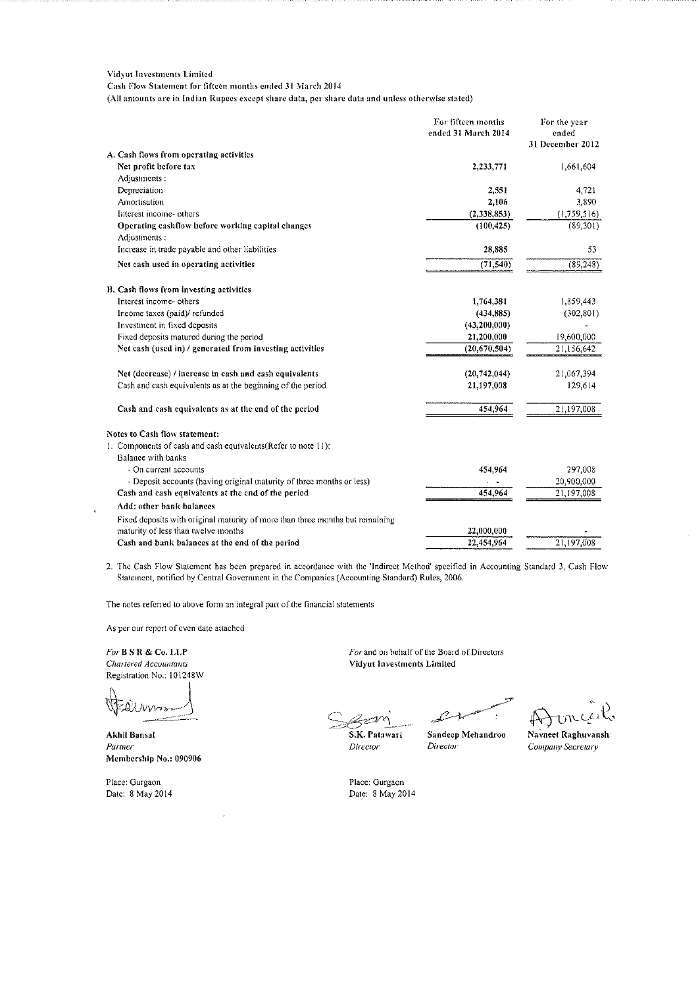Cash Flow Statement for fifteen months ended 31 March 2014

(All amounts are in Indian Rupees except share data, per share data and unless otherwise stated)

|                                                                                                                      | For fifteen months<br>ended 31 March 2014 | For the year<br>ended<br>31 December 2012 |
|----------------------------------------------------------------------------------------------------------------------|-------------------------------------------|-------------------------------------------|
| A. Cash flows from operating activities                                                                              |                                           |                                           |
| Net profit before tax                                                                                                | 2,233,771                                 | 1,661,604                                 |
| Adjustments:                                                                                                         |                                           |                                           |
| Depreciation                                                                                                         | 2,551                                     | 4.721                                     |
| Amortisation                                                                                                         | 2,106                                     | 3,890                                     |
| Interest income- others                                                                                              | (2,338,853)                               | (1,759,516)                               |
| Operating cashflow before working capital changes<br>Adjustments:                                                    | (100, 425)                                | (89, 301)                                 |
| Increase in trade payable and other liabilities                                                                      | 28,885                                    | 53                                        |
| Net cash used in operating activities                                                                                | (71, 540)                                 | (89, 248)                                 |
| B. Cash flows from investing activities                                                                              |                                           |                                           |
| Interest income- others                                                                                              | 1,764,381                                 | 1,859,443                                 |
| Income taxes (paid)/refunded                                                                                         | (434, 885)                                | (302, 801)                                |
| Investment in fixed deposits                                                                                         | (43, 200, 000)                            |                                           |
| Fixed deposits matured during the period                                                                             | 21,200,000                                | 19,600,000                                |
| Net cash (used in) / generated from investing activities                                                             | (20, 670, 504)                            | 21,156,642                                |
| Net (decrease) / increase in cash and cash equivalents                                                               | (20, 742, 044)                            | 21,067,394                                |
| Cash and cash equivalents as at the beginning of the period                                                          | 21,197,008                                | 129,614                                   |
| Cash and cash equivalents as at the end of the period                                                                | 454,964                                   | 21,197,008                                |
| Notes to Cash flow statement:                                                                                        |                                           |                                           |
| 1. Components of cash and cash equivalents (Refer to note 11):                                                       |                                           |                                           |
| Balance with banks                                                                                                   |                                           |                                           |
| - On current accounts                                                                                                | 454,964                                   | 297,008                                   |
| - Deposit accounts (having original maturity of three months or less)                                                |                                           | 20,900,000                                |
| Cash and cash equivalents at the end of the period                                                                   | 454,964                                   | 21,197,008                                |
| Add: other bank balances                                                                                             |                                           |                                           |
| Fixed deposits with original maturity of more than three months but remaining<br>maturity of less than twelve months | 22,000,000                                |                                           |
| Cash and bank balances at the end of the period                                                                      | 22,454,964                                | 21,197,008                                |
|                                                                                                                      |                                           |                                           |

2. The Cash Flow Statement has been prepared in accordance with the 'Indirect Method' specified in Accounting Standard 3, Cash Flow Statement, notified by Central Government in the Companies (Accounting Standard) Rules, 2006.

The notes referred to above form an integral part of the financial statements

As per our report of even date attached

For B S R & Co. LLP Chartered Accountants Registration No.: 101248W

Akhil Bansal Partner Membership No.: 090906

Place: Gurgaon Date: 8 May 2014 For and on behalf of the Board of Directors Vidyut Investments Limited

S.K. Patawari

Director

Sandeep Mehandroo Director

Navneet Raghuvansh Company Secretary

Place: Gurgaon Date: 8 May 2014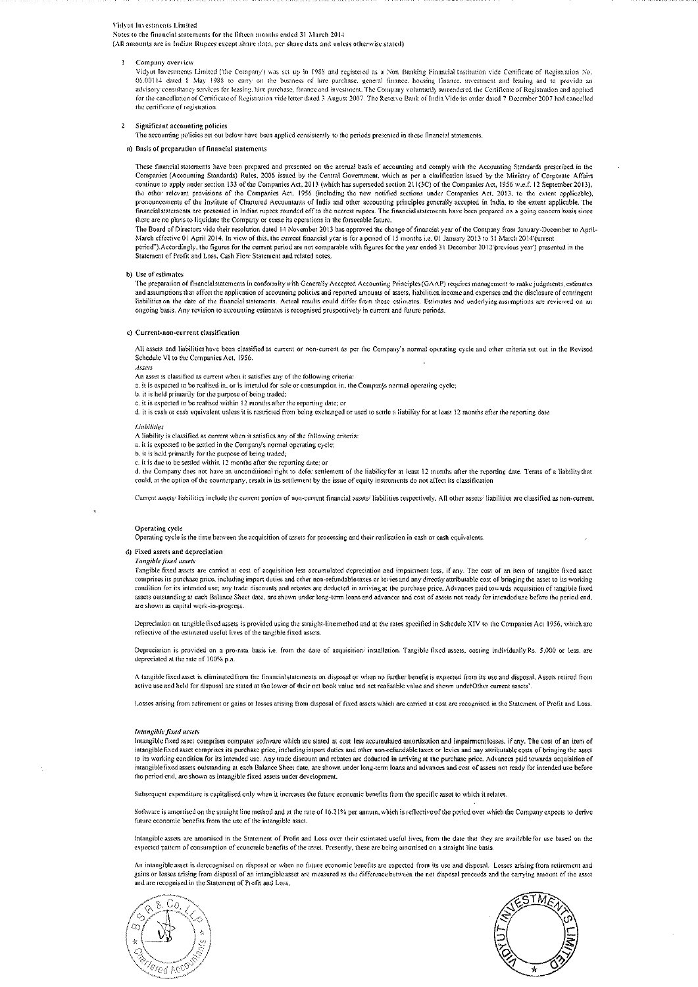Notes to the financial statements for the lifteen months ended 31 March 2014

(All amounts are in Indian Rupees except share data, per share data and unless otherwise stated)

Company overview

Vidyut Investments Limited ('the Company') was set up in 1988 and registered as a Non Banking Financial Institution vide Certificate of Registration No. 06.00114 dated \$ May 1988 to earry on the business of hire purchase, general finance, housing finance, investment and leasing and to provide an advisory consultancy services for leasing hire purchase, finance and investmen for the cancellation of Certificate of Registration vide letter dated 3 August 2007. The Reserve Bank of India Vide its order dated 7 December 2007 had cancelled the certificate of registration.

#### $\overline{2}$ Significant accounting policies

The accounting policies set out below have been applied consistently to the periods presented in these financial statements.

#### a) Basis of preparation of financial statements

These financial statements have been prepared and presented on the accrual basis of accounting and comply with the Accounting Standards prescribed in the Companies (Accounting Standards prescribed in the Companies (Account continue to apply under section 133 of the Companies Act, 2013 (which has superseded section 211(3C) of the Companies Act, 1956 w.e.f. 12 September 2013), the other relevant provisions of the Companies Act, 1956 (including the new notified sections under Companies Act, 2013, to the extent applicable), pronouncements of the Institute of Chartered Accountants of India and othe there are no plans to liquidate the Company or cease its operations in the forseeable future.

The Board of Directors vide their resolution dated 14 November 2013 has approved the change of financial year of the Company from January-December to April-March effective 01 April 2014. In view of this, the current financ Statement of Profit and Loss, Cash Flow Statement and related notes.

#### b) Use of estimates

The preparation of financialstatements in conformity with Generally Accepted Accounting Principles (GAAP) requires management to make judgments, estimates and assumptions that affect the application of accounting policies and reported amounts of assets, liabilities income and expenses and the disclosure of contingent<br>liabilities on the date of the financial statements. Actua ongoing basis. Any revision to accounting estimates is recognised prospectively in current and future periods.

#### c) Current-non-current classification

All assets and liabilities have been classified as current or non-current as per the Company's normal operating cycle and other criteria set out in the Revised Schedule VI to the Companies Act, 1956. Assers

An asset is classified as current when it satisfies any of the following criteria:

a. it is expected to be realised in, or is intended for sale or consumption in, the Compan's normal operating cycle;

b. it is held primarily for the purpose of being traded;

c. it is expected to be realised within 12 months after the reporting date; or

d. it is cash or cash equivalent unless it is restricted from being exchanged or used to settle a liability for at least 12 months after the reporting date

#### Lightlings

A liability is classified as current when it satisfies any of the following criteria:

- a. it is expected to be settled in the Company's normal operating cycle;
- b. it is held primarily for the purpose of being traded:

c. it is due to be settled within 12 months after the reporting date; or<br>d. the Company does not have an unconditional right to defer settlement of the liability for at least 12 months after the reporting date. Terms of a could, at the option of the counterparty, result in its settlement by the issue of equity instruments do not affect its classification

Current assets' liabilities include the current portion of non-current financial assets' liabilities respectively. All other assets' liabilities are classified as non-current.

#### Operating cycle

Operating cycle is the time between the acquisition of assets for processing and their realisation in cash or cash equivalents.

#### d) Fixed assets and depreciation

Tangible fixed assets

Tangible fixed assets are carried at cost of acquisition less accumulated depreciation and impairment loss, if any. The cost of an item of tangible fixed asset comprises its purchase price, including import duties and other non-refundable taxes or levies and any directly attributable cost of bringing the asset to its working condition for its intended use; any trade discounts and rebates are deducted in arriving at the purchase price. Advances paid towards acquisition of tangible fixed assets outstanding at each Balance Sheet date, are shown under long-term loans and advances and cost of assets not ready for intended use before the period end, are shown as capital work-in-progress

Depreciation on tangible fixed assets is provided using the straight-line method and at the rates specified in Schedule XIV to the Companies Act 1956, which are reflective of the estimated useful lives of the tangible fixed assets

Depreciation is provided on a pro-rata basis i.e. from the date of acquisition/ installation. Tangible fixed assets, costing individually Rs. 5,000 or less, are depreciated at the rate of 100% p.a.

A tangible fixed asset is climinated from the financial statements on disposal or when no further benefit is expected from its use and disposal. Assets retired from active use and held for disposal are stated at the lower of their net book value and net realisable value and shown under Other current assets'

Losses arising from retirement or gains or losses arising from disposal of fixed assets which are carried at cost are recognised in the Statement of Profit and Loss.

#### Intangible fixed assets

Intangible fixed asset comprises computer software which are stated at cost less accumulated amortization and impairment losses, if any. The cost of an item of intangible fixed asset comprises its purchase price, including import duties and other non-refundable taxes or levies and any attributable costs of bringing the asset to its working condition for its intended use. Any trade discount and rebates are deducted in arriving at the purchase price. Advances paid towards acquisition of intangible fixed assets outstanding at each Balance Sheet date, are shown under long-term loans and advances and cost of assets not ready for intended use before the period end, are shown as intangible fixed assets under development.

Subsequent expenditure is capitalised only when it increases the future economic benefits from the specific asset to which it relates.

Software is amortised on the straight line method and at the rate of 16.21% per annum, which is reflective of the period over which the Company expects to derive future economic benefits from the use of the intangible asset

Intangible assets are amortised in the Statement of Profit and Loss over their estimated useful lives, from the date that they are available for use based on the expected pattern of consumption of economic benefits of the asset. Presently, these are being amortised on a straight line basis

An intangible asset is derecognised on disposal or when no future economic benefits are expected from its use and disposal. Losses arising from retirement and gains or losses arising from disposal of an intangible asset are measured as the difference between the net disposal proceeds and the carrying amount of the asset and are recognised in the Statement of Profit and Loss.



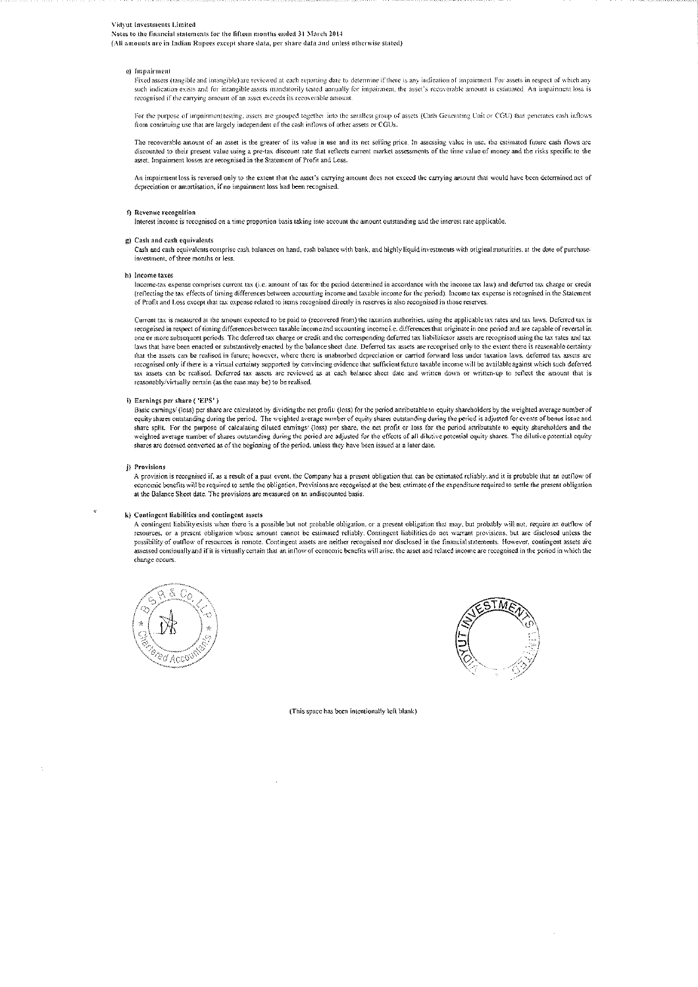Notes to the financial statements for the fifteen months ended 31 March 2014

(All amounts are in Indian Rupees except share data, per share data and unless otherwise stated)

#### e) Impairment

Fixed assets (tangible and intangible) are reviewed at each reporting date to determine if there is any indication of impairment. For assets in respect of which any such indication exists and for intangible assets mandatorily tested annually for impairment, the asset's recoverable amount is estimated. An impairment loss is recognised if the carrying amount of an asset exceeds its recoverable amount

For the purpose of impairment testing, assets are grouped together into the smallest group of assets (Cash Generating Unit or CGU) that generates cash inflows from continuing use that are largely independent of the cash inflows of other assets or CGUs.

The recoverable amount of an asset is the greater of its value in use and its net selling price. In assessing value in use, the estimated future cash flows are discounted to their present value using a pre-tax discount rate that reflects current market assessments of the time value of money and the risks specific to the asset. Impairment losses are recognised in the Statement of Profit and Loss.

An impairment loss is reversed only to the extent that the asset's carrying amount does not exceed the carrying amount that would have been determined net of depreciation or amortisation, if no impairment loss had been recognised.

#### f) Revenue recognition

Interest income is recognised on a time proportion basis taking into account the amount outstanding and the interest rate applicable.

#### g) Cash and cash equivalents

Cash and cash equivalents comprise cash balances on hand, cash balance with bank, and highly liquid investments with original maturities, at the date of purchase investment, of three months or less.

#### h) Income taxes

Income-tax expense comprises current tax (i.e. amount of tax for the period determined in accordance with the income tax law) and deferred tax charge or credit (reflecting the tax effects of timing differences between accounting income and taxable income for the period). Income tax expense is recognised in the Statement of Profit and Loss except that tax expense related to items recognised directly in reserves is also recognised in those reserves

Current tax is measured at the amount expected to be paid to (recovered from) the taxation authorities, using the applicable tax rates and tax laws. Deferred tax is recognised in respect of timing differences between taxable income and accounting income i.e. differences that originate in one period and are capable of reversal in one or more subsequent periods. The deferred tax charge or credit and the corresponding deferred tax liabilities or assets are recognised using the tax rates and tax<br>laws that have been enacted or substantively enacted by that the assets can be realised in future; however, where there is unabsorbed depreciation or carried forward loss under taxation laws, deferred tax assets are recognised only if there is a virual certainty supported by convincing evidence that sufficient future taxable income will be available against which such deferred states and the called Deferred tax assets are reviewed as at each balance sheet date and written down or written-up to reflect the amount that is reasonably/virtually certain (as the case may be) to be realised.

#### i) Earnings per share ('EPS')

Basic earnings/(loss) per share are calculated by dividing the net profit/(loss) for the period attributable to equity shareholders by the weighted average number of equity shares outstanding during the period. The weighted average number of equity shares outstanding during the period is adjusted for events of bonus issue and share split. For the purpose of calculating diluted earnings' (loss) per share, the net profit or loss for the period attributable to equity shareholders and the weighted average number of shares outstanding during the period are adjusted for the effects of all dilutive potential equity shares. The dilutive potential equity shares are deemed converted as of the beginning of the per

#### j) Provisions

A provision is recognised if, as a result of a past event, the Company has a present obligation that can be estimated reliably, and it is probable that an outflow of economic benefits will be required to settle the obligation. Provisions are recognised at the best estimate of the expenditure required to settle the present obligation at the Balance Sheet date. The provisions are measured on an undiscounted basis.

#### k) Contingent liabilities and contingent assets

A contingent liability exists when there is a possible but not probable obligation, or a present obligation that may, but probably will not, require an outflow of resources, or a present obligation whose amount cannot be estimated reliably. Contingent liabilities do not warrant provisions, but are disclosed unless the possibility of outflow of resources is remote. Contingent assets are neither recognised nor disclosed in the financial statements. However, contingent assets are assessed continually and if it is virtually certain that an inflow of economic benefits will arise, the asset and related income are recognised in the period in which the change occurs





(This space has been intentionally left blank)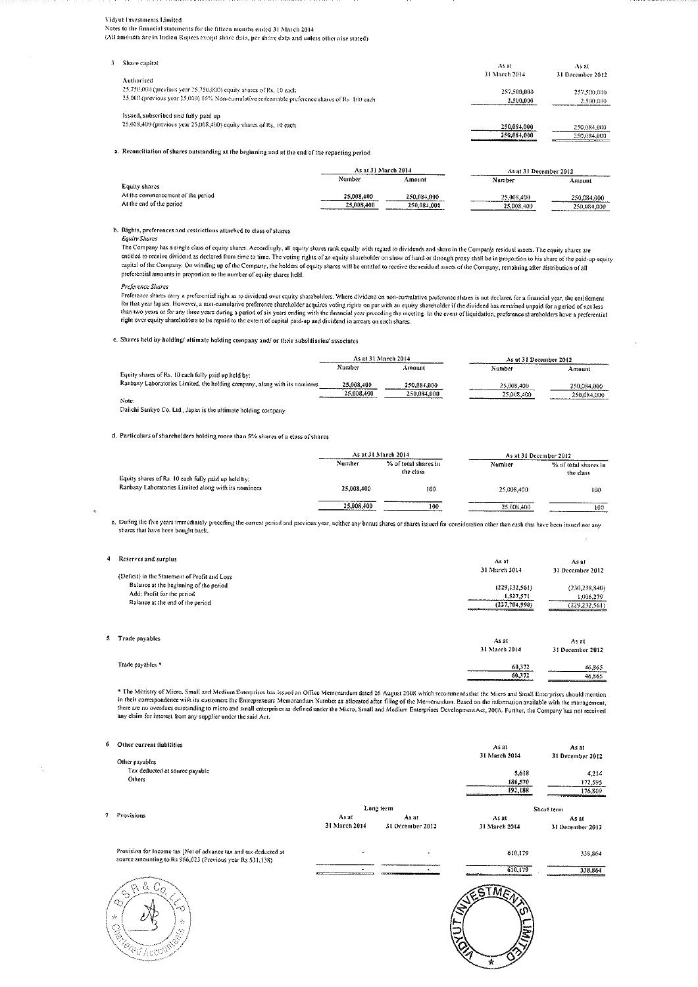$\overline{\mathbf{3}}$ 

Notes to the financial statements for the fifteen months ended 31 March 2014 (All amounts are in Indian Rupees except share data, per share data and unless otherwise stated)

| Share capital                                                                                              | As at                            | As at                      |
|------------------------------------------------------------------------------------------------------------|----------------------------------|----------------------------|
| Authorised                                                                                                 | 31 March 2014                    | 31 December 2012           |
| 25,750,000 (previous year 25,750,000) equity shares of Rs. 10 each                                         | 257,500,000                      | 257,500,000                |
| 25,000 (previous year 25,000) 10% Non-cumulative redcemable preference shares of Rs. 100 each              | 2,500,000                        | 2,500,000                  |
| Issued, subscribed and fully paid up<br>25,008,400 (previous year 25,008,400) equity shares of Rs. 10 each | 250.084.000<br>250,084,000<br>-- | 250,084,000<br>250,084,000 |

a. Reconciliation of shares outstanding at the beginning and at the end of the reporting period

|                                   |            | As at 31 March 2014 |            | As at 31 December 2012                     |  |
|-----------------------------------|------------|---------------------|------------|--------------------------------------------|--|
|                                   | Number     | Amount              | Number     | Amount                                     |  |
| Equity shares                     |            |                     |            |                                            |  |
| At the commencement of the period | 25,008,400 | 250,084,000         | 25.008.400 | 250.084.000                                |  |
| At the end of the period          | 25.008.400 | 250,084,000         | 25,008,400 | 250.084.000<br>___________________________ |  |

#### b. Rights, preferences and restrictions attached to class of shares

#### **Equity Shares**

Lyon, Concess a single class of equity shares. Accordingly, all equity shares rank equally with regard to dividends and share in the Companys residual assets. The equity shares are<br>entitled to receive dividend as declared capital of the Company. On winding up of the Company, the holders of equity shares will be entitled to receive the residual assets of the Company, remaining after distribution of all preferential amounts in proportion to the number of equity shares held.

#### Preference Shares

reference shares carry a preferential right as to dividend over equity shareholders. Where dividend on non-cumulative preference shares is not declared for a financial year, the entitlement<br>For ference shares carry a prefe

#### c. Shares held by holding/ultimate holding company and/ or their subsidiaries/ associates

|                                                                                                                          | As at 31 March 2014 |             | As at 31 December 2012 |             |
|--------------------------------------------------------------------------------------------------------------------------|---------------------|-------------|------------------------|-------------|
|                                                                                                                          | Number              | Amount      | Number                 | Amount      |
| Equity shares of Rs. 10 each fully paid up held by:                                                                      |                     |             |                        |             |
| Ranbaxy Laboratories Limited, the holding company, along with its nominees                                               | 25.008.400          | 250,084,000 | 25,008,400             | 250.084.000 |
|                                                                                                                          | 25,008,100          | 250.084.000 | 25,008,400             | 250.084.000 |
| Note:<br>the contract of the contract of the contract of the contract of the contract of the contract of the contract of |                     |             |                        |             |

Daiichi Sankyo Co. Ltd., Japan is the ultimate holding company

d. Particulars of shareholders holding more than 5% shares of a class of shares

|                                                      |            | As at 31 March 2014               | As at 31 December 2012 |                                   |
|------------------------------------------------------|------------|-----------------------------------|------------------------|-----------------------------------|
| Equity shares of Rs. 10 each fully paid up held by:  | Number     | % of total shares in<br>the class | Number                 | % of total shares in<br>the class |
| Ranbaxy Laboratories Limited along with its nominees | 25 008 100 | 100                               | 25,008,400             | 100                               |
|                                                      | 25,008,400 | 100                               | 25.008.400<br>.        | 100                               |

e. During the five years immediately preceding the current period and previous year, nottier any bonus shares or shares issued for consideration other than eash that have been issued nor any shares that have been bought back.

| 4 Reserves and surplus                                                                                                                                    | As at<br>31 March 2014                        | As at<br>31 December 2012                   |
|-----------------------------------------------------------------------------------------------------------------------------------------------------------|-----------------------------------------------|---------------------------------------------|
| (Deficit) in the Statement of Profit and Loss<br>Balance at the beginning of the period<br>Add: Profit for the period<br>Balance at the end of the period | (229, 232, 561)<br>1,527,571<br>(227.701.990) | (230.238.840)<br>1,006,279<br>(229.232.561) |
| 5 Trade payables                                                                                                                                          | As at<br>31 March 2014                        | Asat<br>31 December 2012                    |
| Trade payables *                                                                                                                                          | 60.372<br>60.372                              | 46.865<br>46.865                            |

\* The Ministry of Micro, Small and Medium Enterprises has issued an Office Memorandum dated 26 August 2008 which recommends that the Micro and Small Enterprises should mention The button of the correspondence with its customers the Entrepreneurs has the mean and the mean of the area of the processes in their correspondence with its customers the Entrepreneurs Memorandum Number as allocated after any claim for interest from any supplier under the said Act.

| 6 | Other current liabilities<br>Other payables                                                                                    |               |                  | Asat<br>31 March 2014                                                    | As at<br>31 December 2012 |
|---|--------------------------------------------------------------------------------------------------------------------------------|---------------|------------------|--------------------------------------------------------------------------|---------------------------|
|   | Tax deducted at source payable                                                                                                 |               |                  | 5.618                                                                    | 4.214                     |
|   | Others                                                                                                                         |               |                  | 186 570                                                                  | 172.595                   |
|   |                                                                                                                                |               |                  | 192.188                                                                  | 176.809                   |
|   |                                                                                                                                |               | Long term        |                                                                          | Short term                |
|   | 7 Provisions                                                                                                                   | As at         | As at            | Asat                                                                     | As at                     |
|   |                                                                                                                                | 31 March 2014 | 31 December 2012 | 31 March 2014                                                            | 31 December 2012          |
|   | Provision for Income tax [Net of advance tax and tax deducted at<br>source amounting to Rs 966 023 (Previous year Rs 531,138). |               | $\cdot$          | 610,179                                                                  | 338.364                   |
|   |                                                                                                                                |               |                  | 610.179<br>White in the full full determinance concerns and concerns are | 338.861                   |



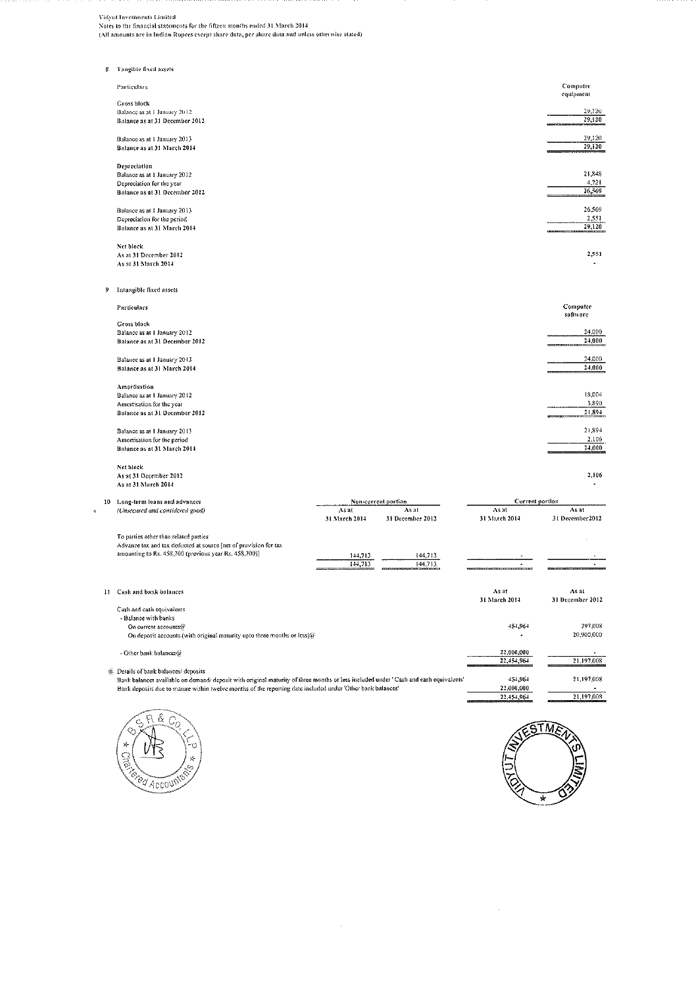Vidynt Investments Limited Notes to the financial statements for the fifteen months ended 31 March 2014<br>(All amounts are in Indian Rupees except share data, per share data and unless otherwise stated)

| 8 | Tangible fixed assets          |                                                               |
|---|--------------------------------|---------------------------------------------------------------|
|   | Particulars                    | Computer<br>equipment                                         |
|   | <b>Gross block</b>             |                                                               |
|   | Balance as at 1 January 2012   | 29.120                                                        |
|   | Balance as at 31 December 2012 | 29,120<br>---------------------                               |
|   | Balance as at 1 January 2013   | 29,120                                                        |
|   | Balance as at 31 March 2014    | 29,120                                                        |
|   | Depreciation                   |                                                               |
|   | Balance as at 1 January 2012   | 21.848                                                        |
|   | Depreciation for the year      | 4,721                                                         |
|   | Balance as at 31 December 2012 | 26, 369                                                       |
|   | Balance as at 1 January 2013   | 26,569                                                        |
|   | Depreciation for the period    | 2,551                                                         |
|   | Balance as at 31 March 2014    | 29,120<br><b><i><u>BOARD AND AND AND A BOARD AND </u></i></b> |
|   | Net block                      |                                                               |
|   | As at 31 December 2012         | 2,551                                                         |
|   | As at 31 March 2014            |                                                               |
| 9 | Intangible fixed assets        |                                                               |
|   | Particulars                    | Computer<br>software                                          |

| Gross block                    |                                              |
|--------------------------------|----------------------------------------------|
| Balance as at 1 January 2012   | 24,000                                       |
| Balance as at 31 December 2012 | 24.000<br>A MODELA IN EXTERNA AVAILABLE PARA |
|                                |                                              |
| Balance as at 1 January 2013   | 24,000                                       |
| Balance as at 31 March 2014    | 24,000                                       |
|                                |                                              |
| Amortisation                   |                                              |
| Balance as at 1 January 2012   | 18.004                                       |
| Amortisation for the year      | 3.390                                        |
| Balance as at 31 December 2012 | 21,894                                       |
|                                |                                              |
| Balance as at I January 2013   | 21,394                                       |
| Amortisation for the period    | 2,106                                        |
| Balauce as at 31 March 2014    | 24,000<br>________                           |
|                                |                                              |

Net block<br>As at 31 December 2012<br>As at 31 March 2014

10 Long-term loans and advances **Current portion** Non-cargent portion<br>As at As at  $\overline{Asat}$ (Unsecured and considered good)  $\overline{A}$ s at 31 December 2012  $31$  March  $2014\,$ 31 December 2012 31 March 2014 To parties other than related parties Advance tax and tax deducted at source (net of provision for tax<br>amounting to Rs. 458,700 (previous year Rs. 458,700)]  $\frac{144,713}{144,713}$  $\frac{144,713}{144,713}$ 11 Cash and bank balances As at As at 31 March 2014 31 December 2012 Cash and cash equivalents - Balance with banks 454,964 297.008 On current accounts@ 20,900,000 On deposit accounts (with original maturity upto three months or less)@ 22,000,000 - Other bank balances@ 21,197,008  $22,454,964$  $@$  Details of bank balances/ deposits Diants by ount outercommunity of the original maturity of three months or less included under 'Cash and eash equivalents'<br>Bank balances available on demand/ deposit with original maturity of three months or less included u 21,197,008 451,964 22.000.000 21.197.008 22.454.964

 $\bar{z}$ 





 $\bar{z}$ 

2,106